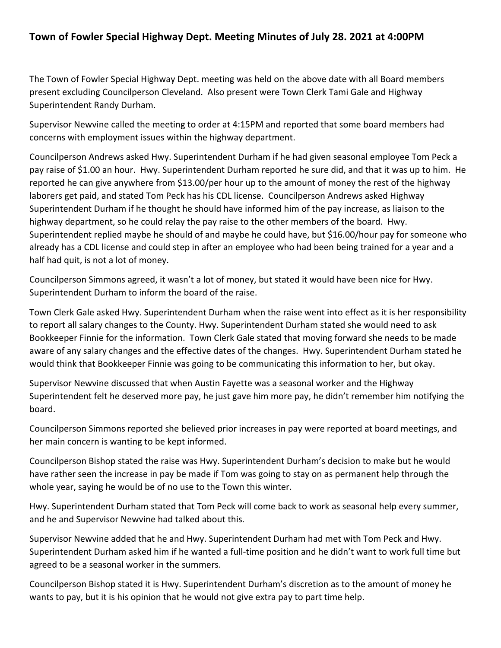## **Town of Fowler Special Highway Dept. Meeting Minutes of July 28. 2021 at 4:00PM**

The Town of Fowler Special Highway Dept. meeting was held on the above date with all Board members present excluding Councilperson Cleveland. Also present were Town Clerk Tami Gale and Highway Superintendent Randy Durham.

Supervisor Newvine called the meeting to order at 4:15PM and reported that some board members had concerns with employment issues within the highway department.

Councilperson Andrews asked Hwy. Superintendent Durham if he had given seasonal employee Tom Peck a pay raise of \$1.00 an hour. Hwy. Superintendent Durham reported he sure did, and that it was up to him. He reported he can give anywhere from \$13.00/per hour up to the amount of money the rest of the highway laborers get paid, and stated Tom Peck has his CDL license. Councilperson Andrews asked Highway Superintendent Durham if he thought he should have informed him of the pay increase, as liaison to the highway department, so he could relay the pay raise to the other members of the board. Hwy. Superintendent replied maybe he should of and maybe he could have, but \$16.00/hour pay for someone who already has a CDL license and could step in after an employee who had been being trained for a year and a half had quit, is not a lot of money.

Councilperson Simmons agreed, it wasn't a lot of money, but stated it would have been nice for Hwy. Superintendent Durham to inform the board of the raise.

Town Clerk Gale asked Hwy. Superintendent Durham when the raise went into effect as it is her responsibility to report all salary changes to the County. Hwy. Superintendent Durham stated she would need to ask Bookkeeper Finnie for the information. Town Clerk Gale stated that moving forward she needs to be made aware of any salary changes and the effective dates of the changes. Hwy. Superintendent Durham stated he would think that Bookkeeper Finnie was going to be communicating this information to her, but okay.

Supervisor Newvine discussed that when Austin Fayette was a seasonal worker and the Highway Superintendent felt he deserved more pay, he just gave him more pay, he didn't remember him notifying the board.

Councilperson Simmons reported she believed prior increases in pay were reported at board meetings, and her main concern is wanting to be kept informed.

Councilperson Bishop stated the raise was Hwy. Superintendent Durham's decision to make but he would have rather seen the increase in pay be made if Tom was going to stay on as permanent help through the whole year, saying he would be of no use to the Town this winter.

Hwy. Superintendent Durham stated that Tom Peck will come back to work as seasonal help every summer, and he and Supervisor Newvine had talked about this.

Supervisor Newvine added that he and Hwy. Superintendent Durham had met with Tom Peck and Hwy. Superintendent Durham asked him if he wanted a full-time position and he didn't want to work full time but agreed to be a seasonal worker in the summers.

Councilperson Bishop stated it is Hwy. Superintendent Durham's discretion as to the amount of money he wants to pay, but it is his opinion that he would not give extra pay to part time help.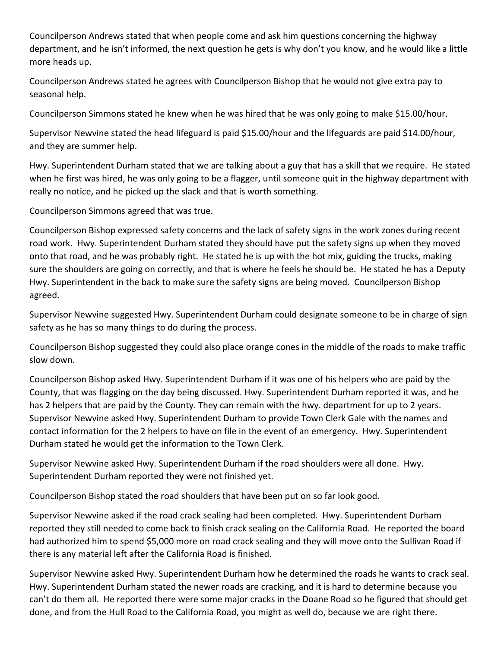Councilperson Andrews stated that when people come and ask him questions concerning the highway department, and he isn't informed, the next question he gets is why don't you know, and he would like a little more heads up.

Councilperson Andrews stated he agrees with Councilperson Bishop that he would not give extra pay to seasonal help.

Councilperson Simmons stated he knew when he was hired that he was only going to make \$15.00/hour.

Supervisor Newvine stated the head lifeguard is paid \$15.00/hour and the lifeguards are paid \$14.00/hour, and they are summer help.

Hwy. Superintendent Durham stated that we are talking about a guy that has a skill that we require. He stated when he first was hired, he was only going to be a flagger, until someone quit in the highway department with really no notice, and he picked up the slack and that is worth something.

Councilperson Simmons agreed that was true.

Councilperson Bishop expressed safety concerns and the lack of safety signs in the work zones during recent road work. Hwy. Superintendent Durham stated they should have put the safety signs up when they moved onto that road, and he was probably right. He stated he is up with the hot mix, guiding the trucks, making sure the shoulders are going on correctly, and that is where he feels he should be. He stated he has a Deputy Hwy. Superintendent in the back to make sure the safety signs are being moved. Councilperson Bishop agreed.

Supervisor Newvine suggested Hwy. Superintendent Durham could designate someone to be in charge of sign safety as he has so many things to do during the process.

Councilperson Bishop suggested they could also place orange cones in the middle of the roads to make traffic slow down.

Councilperson Bishop asked Hwy. Superintendent Durham if it was one of his helpers who are paid by the County, that was flagging on the day being discussed. Hwy. Superintendent Durham reported it was, and he has 2 helpers that are paid by the County. They can remain with the hwy. department for up to 2 years. Supervisor Newvine asked Hwy. Superintendent Durham to provide Town Clerk Gale with the names and contact information for the 2 helpers to have on file in the event of an emergency. Hwy. Superintendent Durham stated he would get the information to the Town Clerk.

Supervisor Newvine asked Hwy. Superintendent Durham if the road shoulders were all done. Hwy. Superintendent Durham reported they were not finished yet.

Councilperson Bishop stated the road shoulders that have been put on so far look good.

Supervisor Newvine asked if the road crack sealing had been completed. Hwy. Superintendent Durham reported they still needed to come back to finish crack sealing on the California Road. He reported the board had authorized him to spend \$5,000 more on road crack sealing and they will move onto the Sullivan Road if there is any material left after the California Road is finished.

Supervisor Newvine asked Hwy. Superintendent Durham how he determined the roads he wants to crack seal. Hwy. Superintendent Durham stated the newer roads are cracking, and it is hard to determine because you can't do them all. He reported there were some major cracks in the Doane Road so he figured that should get done, and from the Hull Road to the California Road, you might as well do, because we are right there.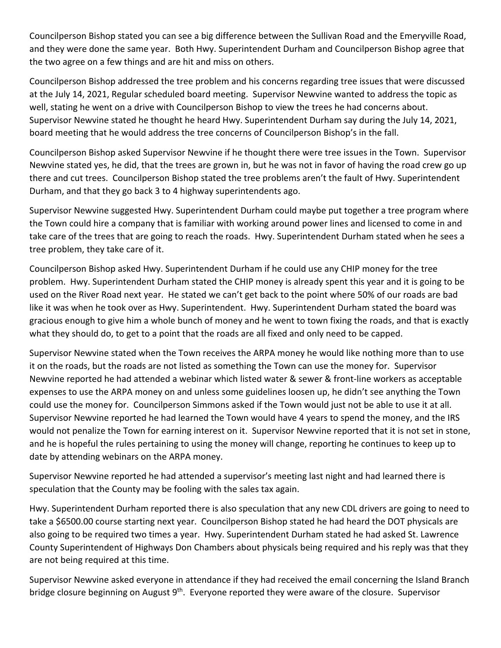Councilperson Bishop stated you can see a big difference between the Sullivan Road and the Emeryville Road, and they were done the same year. Both Hwy. Superintendent Durham and Councilperson Bishop agree that the two agree on a few things and are hit and miss on others.

Councilperson Bishop addressed the tree problem and his concerns regarding tree issues that were discussed at the July 14, 2021, Regular scheduled board meeting. Supervisor Newvine wanted to address the topic as well, stating he went on a drive with Councilperson Bishop to view the trees he had concerns about. Supervisor Newvine stated he thought he heard Hwy. Superintendent Durham say during the July 14, 2021, board meeting that he would address the tree concerns of Councilperson Bishop's in the fall.

Councilperson Bishop asked Supervisor Newvine if he thought there were tree issues in the Town. Supervisor Newvine stated yes, he did, that the trees are grown in, but he was not in favor of having the road crew go up there and cut trees. Councilperson Bishop stated the tree problems aren't the fault of Hwy. Superintendent Durham, and that they go back 3 to 4 highway superintendents ago.

Supervisor Newvine suggested Hwy. Superintendent Durham could maybe put together a tree program where the Town could hire a company that is familiar with working around power lines and licensed to come in and take care of the trees that are going to reach the roads. Hwy. Superintendent Durham stated when he sees a tree problem, they take care of it.

Councilperson Bishop asked Hwy. Superintendent Durham if he could use any CHIP money for the tree problem. Hwy. Superintendent Durham stated the CHIP money is already spent this year and it is going to be used on the River Road next year. He stated we can't get back to the point where 50% of our roads are bad like it was when he took over as Hwy. Superintendent. Hwy. Superintendent Durham stated the board was gracious enough to give him a whole bunch of money and he went to town fixing the roads, and that is exactly what they should do, to get to a point that the roads are all fixed and only need to be capped.

Supervisor Newvine stated when the Town receives the ARPA money he would like nothing more than to use it on the roads, but the roads are not listed as something the Town can use the money for. Supervisor Newvine reported he had attended a webinar which listed water & sewer & front-line workers as acceptable expenses to use the ARPA money on and unless some guidelines loosen up, he didn't see anything the Town could use the money for. Councilperson Simmons asked if the Town would just not be able to use it at all. Supervisor Newvine reported he had learned the Town would have 4 years to spend the money, and the IRS would not penalize the Town for earning interest on it. Supervisor Newvine reported that it is not set in stone, and he is hopeful the rules pertaining to using the money will change, reporting he continues to keep up to date by attending webinars on the ARPA money.

Supervisor Newvine reported he had attended a supervisor's meeting last night and had learned there is speculation that the County may be fooling with the sales tax again.

Hwy. Superintendent Durham reported there is also speculation that any new CDL drivers are going to need to take a \$6500.00 course starting next year. Councilperson Bishop stated he had heard the DOT physicals are also going to be required two times a year. Hwy. Superintendent Durham stated he had asked St. Lawrence County Superintendent of Highways Don Chambers about physicals being required and his reply was that they are not being required at this time.

Supervisor Newvine asked everyone in attendance if they had received the email concerning the Island Branch bridge closure beginning on August 9<sup>th</sup>. Everyone reported they were aware of the closure. Supervisor